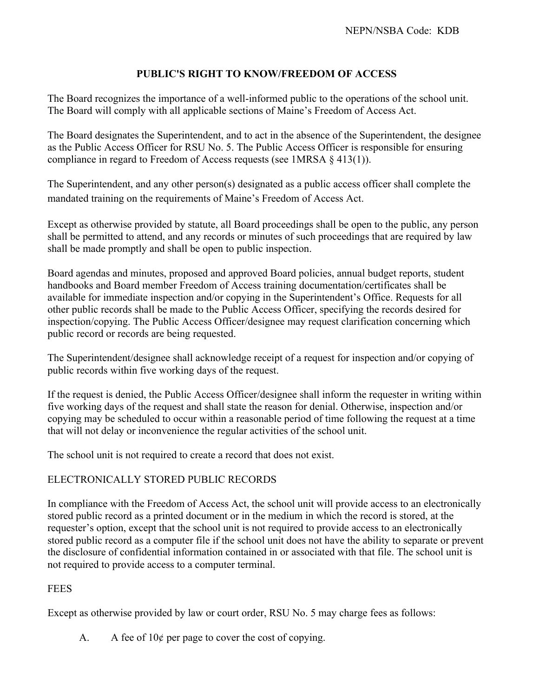## **PUBLIC'S RIGHT TO KNOW/FREEDOM OF ACCESS**

The Board recognizes the importance of a well-informed public to the operations of the school unit. The Board will comply with all applicable sections of Maine's Freedom of Access Act.

The Board designates the Superintendent, and to act in the absence of the Superintendent, the designee as the Public Access Officer for RSU No. 5. The Public Access Officer is responsible for ensuring compliance in regard to Freedom of Access requests (see 1MRSA § 413(1)).

The Superintendent, and any other person(s) designated as a public access officer shall complete the mandated training on the requirements of Maine's Freedom of Access Act.

Except as otherwise provided by statute, all Board proceedings shall be open to the public, any person shall be permitted to attend, and any records or minutes of such proceedings that are required by law shall be made promptly and shall be open to public inspection.

Board agendas and minutes, proposed and approved Board policies, annual budget reports, student handbooks and Board member Freedom of Access training documentation/certificates shall be available for immediate inspection and/or copying in the Superintendent's Office. Requests for all other public records shall be made to the Public Access Officer, specifying the records desired for inspection/copying. The Public Access Officer/designee may request clarification concerning which public record or records are being requested.

The Superintendent/designee shall acknowledge receipt of a request for inspection and/or copying of public records within five working days of the request.

If the request is denied, the Public Access Officer/designee shall inform the requester in writing within five working days of the request and shall state the reason for denial. Otherwise, inspection and/or copying may be scheduled to occur within a reasonable period of time following the request at a time that will not delay or inconvenience the regular activities of the school unit.

The school unit is not required to create a record that does not exist.

## ELECTRONICALLY STORED PUBLIC RECORDS

In compliance with the Freedom of Access Act, the school unit will provide access to an electronically stored public record as a printed document or in the medium in which the record is stored, at the requester's option, except that the school unit is not required to provide access to an electronically stored public record as a computer file if the school unit does not have the ability to separate or prevent the disclosure of confidential information contained in or associated with that file. The school unit is not required to provide access to a computer terminal.

## **FEES**

Except as otherwise provided by law or court order, RSU No. 5 may charge fees as follows:

A. A fee of  $10¢$  per page to cover the cost of copying.